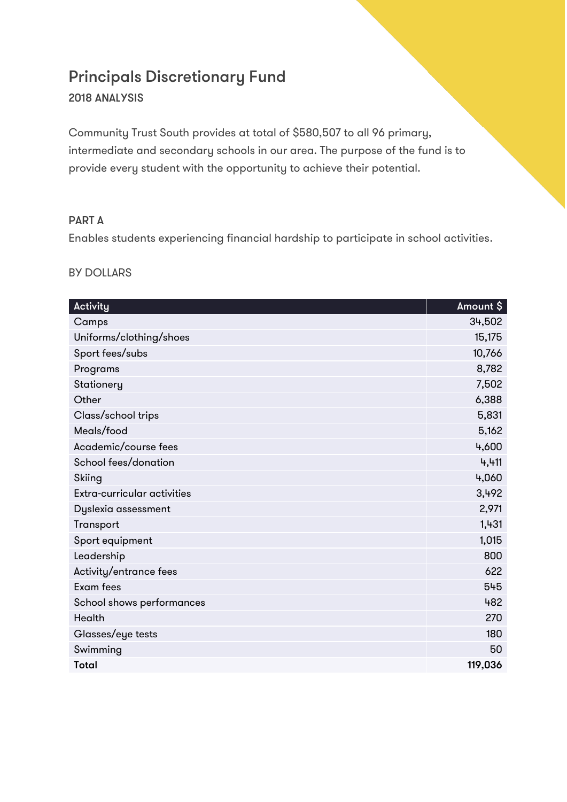# Principals Discretionary Fund

## 2018 ANALYSIS

Community Trust South provides at total of \$580,507 to all 96 primary, intermediate and secondary schools in our area. The purpose of the fund is to provide every student with the opportunity to achieve their potential.

## PART A

Enables students experiencing financial hardship to participate in school activities.

#### BY DOLLARS

| Activity                    | Amount \$ |
|-----------------------------|-----------|
| Camps                       | 34,502    |
| Uniforms/clothing/shoes     | 15,175    |
| Sport fees/subs             | 10,766    |
| Programs                    | 8,782     |
| Stationery                  | 7,502     |
| Other                       | 6,388     |
| Class/school trips          | 5,831     |
| Meals/food                  | 5,162     |
| Academic/course fees        | 4,600     |
| School fees/donation        | 4,411     |
| Skiing                      | 4,060     |
| Extra-curricular activities | 3,492     |
| Dyslexia assessment         | 2,971     |
| Transport                   | 1,431     |
| Sport equipment             | 1,015     |
| Leadership                  | 800       |
| Activity/entrance fees      | 622       |
| Exam fees                   | 545       |
| School shows performances   | 482       |
| Health                      | 270       |
| Glasses/eye tests           | 180       |
| Swimming                    | 50        |
| <b>Total</b>                | 119,036   |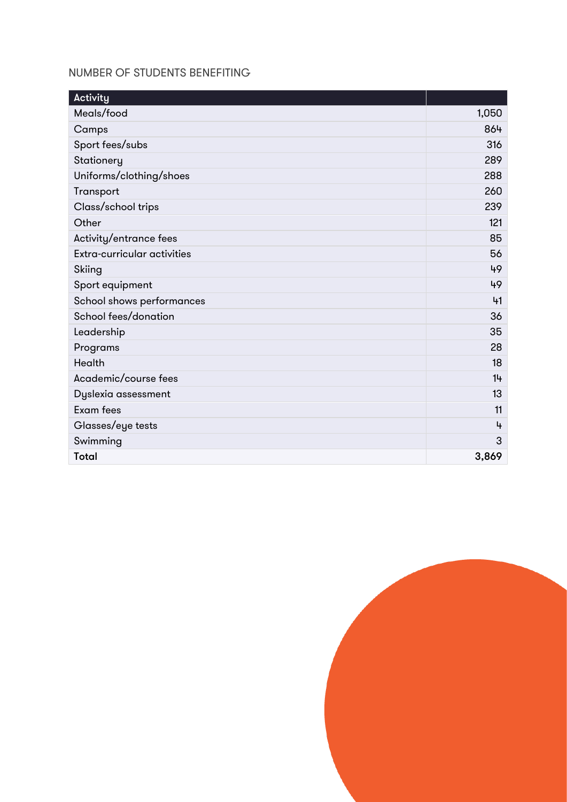#### NUMBER OF STUDENTS BENEFITING

| Activity                    |       |
|-----------------------------|-------|
| Meals/food                  | 1,050 |
| Camps                       | 864   |
| Sport fees/subs             | 316   |
| Stationery                  | 289   |
| Uniforms/clothing/shoes     | 288   |
| Transport                   | 260   |
| Class/school trips          | 239   |
| Other                       | 121   |
| Activity/entrance fees      | 85    |
| Extra-curricular activities | 56    |
| Skiing                      | 49    |
| Sport equipment             | 49    |
| School shows performances   | 41    |
| School fees/donation        | 36    |
| Leadership                  | 35    |
| Programs                    | 28    |
| <b>Health</b>               | 18    |
| Academic/course fees        | 14    |
| Dyslexia assessment         | 13    |
| <b>Exam</b> fees            | 11    |
| Glasses/eye tests           | 4     |
| Swimming                    | 3     |
| <b>Total</b>                | 3,869 |

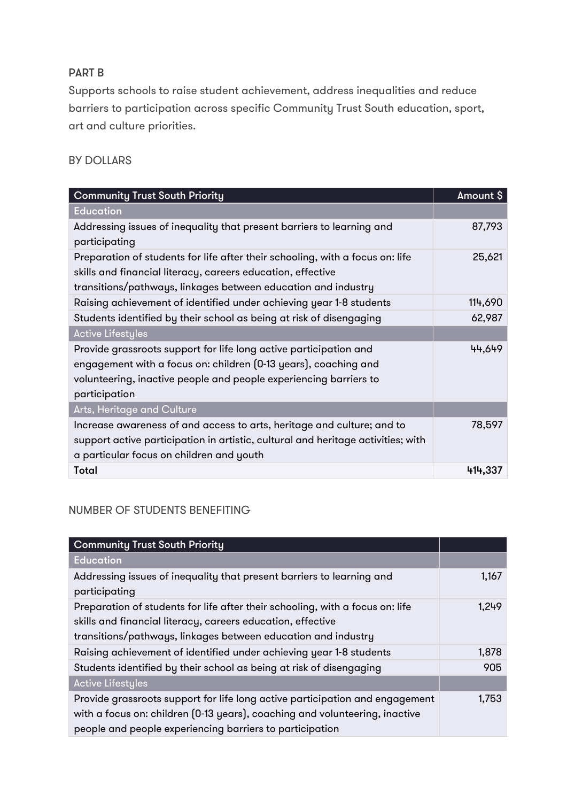## PART B

Supports schools to raise student achievement, address inequalities and reduce barriers to participation across specific Community Trust South education, sport, art and culture priorities.

#### BY DOLLARS

| <b>Community Trust South Priority</b>                                                                                                                                                                                      | Amount \$ |
|----------------------------------------------------------------------------------------------------------------------------------------------------------------------------------------------------------------------------|-----------|
| <b>Education</b>                                                                                                                                                                                                           |           |
| Addressing issues of inequality that present barriers to learning and<br>participating                                                                                                                                     | 87,793    |
| Preparation of students for life after their schooling, with a focus on: life<br>skills and financial literacy, careers education, effective<br>transitions/pathways, linkages between education and industry              | 25,621    |
| Raising achievement of identified under achieving year 1-8 students                                                                                                                                                        | 114,690   |
| Students identified by their school as being at risk of disengaging                                                                                                                                                        | 62,987    |
| <b>Active Lifestyles</b>                                                                                                                                                                                                   |           |
| Provide grassroots support for life long active participation and<br>engagement with a focus on: children (0-13 years), coaching and<br>volunteering, inactive people and people experiencing barriers to<br>participation | 44,649    |
| Arts, Heritage and Culture                                                                                                                                                                                                 |           |
| Increase awareness of and access to arts, heritage and culture; and to<br>support active participation in artistic, cultural and heritage activities; with<br>a particular focus on children and youth                     | 78,597    |
| <b>Total</b>                                                                                                                                                                                                               | 414,337   |

## NUMBER OF STUDENTS BENEFITING

| <b>Community Trust South Priority</b>                                                                                                                                                                                   |       |
|-------------------------------------------------------------------------------------------------------------------------------------------------------------------------------------------------------------------------|-------|
| <b>Education</b>                                                                                                                                                                                                        |       |
| Addressing issues of inequality that present barriers to learning and<br>participating                                                                                                                                  | 1,167 |
| Preparation of students for life after their schooling, with a focus on: life<br>skills and financial literacy, careers education, effective<br>transitions/pathways, linkages between education and industry           | 1,249 |
| Raising achievement of identified under achieving year 1-8 students                                                                                                                                                     | 1,878 |
| Students identified by their school as being at risk of disengaging                                                                                                                                                     | 905   |
| <b>Active Lifestyles</b>                                                                                                                                                                                                |       |
| Provide grassroots support for life long active participation and engagement<br>with a focus on: children (0-13 years), coaching and volunteering, inactive<br>people and people experiencing barriers to participation | 1,753 |